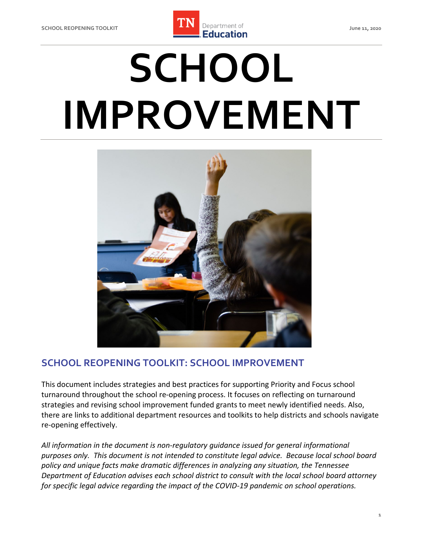

# **SCHOOL IMPROVEMENT**



## **SCHOOL REOPENING TOOLKIT: SCHOOL IMPROVEMENT**

 This document includes strategies and best practices for supporting Priority and Focus school turnaround throughout the school re-opening process. It focuses on reflecting on turnaround strategies and revising school improvement funded grants to meet newly identified needs. Also, there are links to additional department resources and toolkits to help districts and schools navigate re-opening effectively.

 *All information in the document is non-regulatory guidance issued for general informational purposes only. This document is not intended to constitute legal advice. Because local school board policy and unique facts make dramatic differences in analyzing any situation, the Tennessee Department of Education advises each school district to consult with the local school board attorney for specific legal advice regarding the impact of the COVID-19 pandemic on school operations.*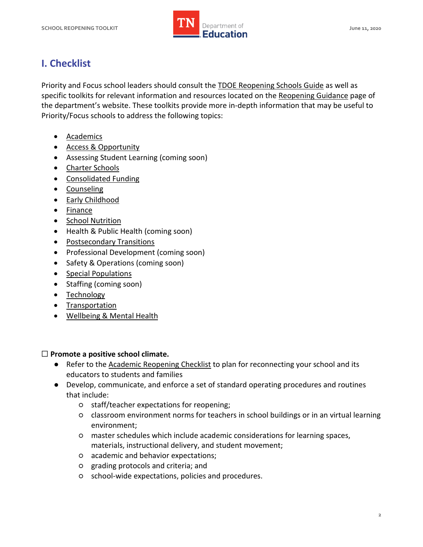

# **I. Checklist**

Priority and Focus school leaders should consult the [TDOE Reopening Schools Guide](https://www.tn.gov/content/dam/tn/education/health-&-safety/Reopening%20Schools%20-%20Overview%20Guide%20for%20LEAs.pdf) as well as specific toolkits for relevant information and resources located on the [Reopening Guidance](https://www.tn.gov/education/health-and-safety/update-on-coronavirus/reopening-guidance.html) page of the department's website. These toolkits provide more in-depth information that may be useful to Priority/Focus schools to address the following topics:

- [Academics](https://www.tn.gov/content/dam/tn/education/health-&-safety/Academics.pdf)
- [Access & Opportunity](https://www.tn.gov/content/dam/tn/education/health-&-safety/Access%20and%20Opportunity.pdf)
- Assessing Student Learning (coming soon)
- [Charter Schools](https://www.tn.gov/content/dam/tn/education/health-&-safety/Charter%20Schools.pdf)
- [Consolidated Funding](https://www.tn.gov/content/dam/tn/education/health-&-safety/Consolidated%20Funding.pdf)
- [Counseling](https://www.tn.gov/content/dam/tn/education/health-&-safety/Counseling.pdf)
- Early Childhood
- [Finance](https://www.tn.gov/content/dam/tn/education/health-&-safety/Finance.pdf)
- **School Nutrition**
- Health & Public Health (coming soon)
- [Postsecondary Transitions](https://www.tn.gov/content/dam/tn/education/health-&-safety/Postsecondary%20Transitions.pdf)
- Professional Development (coming soon)
- Safety & Operations (coming soon)
- [Special Populations](https://www.tn.gov/content/dam/tn/education/health-&-safety/Special%20Populations.pdf)
- Staffing (coming soon)
- [Technology](https://www.tn.gov/content/dam/tn/education/health-&-safety/Technology.pdf)
- [Transportation](https://www.tn.gov/content/dam/tn/education/health-&-safety/Transportation.pdf)
- [Wellbeing & Mental Health](https://www.tn.gov/content/dam/tn/education/health-&-safety/Wellbeing%20and%20Mental%20Health.pdf)

## ☐ **Promote a positive school climate.**

- Refer to the [Academic Reopening Checklist](https://www.tn.gov/content/dam/tn/education/health-&-safety/Academics.pdf) to plan for reconnecting your school and its educators to students and families
- Develop, communicate, and enforce a set of standard operating procedures and routines that include:
	- staff/teacher expectations for reopening;
	- classroom environment norms for teachers in school buildings or in an virtual learning environment;
	- master schedules which include academic considerations for learning spaces, materials, instructional delivery, and student movement;
	- academic and behavior expectations;
	- grading protocols and criteria; and
	- school-wide expectations, policies and procedures.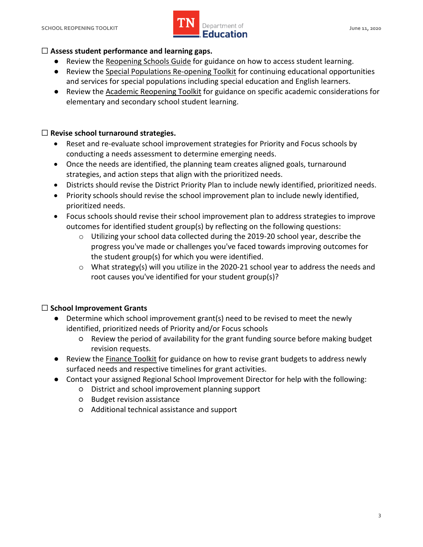

## ☐ **Assess student performance and learning gaps.**

- Review the Reopening Schools Guide for guidance on how to access student learning.
- ● Review the [Special Populations Re-opening Toolkit](https://www.tn.gov/content/dam/tn/education/health-&-safety/Special%20Populations.pdf) for continuing educational opportunities and services for special populations including special education and English learners.
- Review the **Academic Reopening Toolkit** for guidance on specific academic considerations for elementary and secondary school student learning.

## ☐ **Revise school turnaround strategies.**

- • Reset and re-evaluate school improvement strategies for Priority and Focus schools by conducting a needs assessment to determine emerging needs.
- Once the needs are identified, the planning team creates aligned goals, turnaround strategies, and action steps that align with the prioritized needs.
- Districts should revise the District Priority Plan to include newly identified, prioritized needs.
- Priority schools should revise the school improvement plan to include newly identified, prioritized needs.
- • Focus schools should revise their school improvement plan to address strategies to improve outcomes for identified student group(s) by reflecting on the following questions:
	- o Utilizing your school data collected during the 2019-20 school year, describe the progress you've made or challenges you've faced towards improving outcomes for the student group(s) for which you were identified.
	- o What strategy(s) will you utilize in the 2020-21 school year to address the needs and root causes you've identified for your student group(s)?

## ☐ **School Improvement Grants**

- ● Determine which school improvement grant(s) need to be revised to meet the newly identified, prioritized needs of Priority and/or Focus schools
	- ○ Review the period of availability for the grant funding source before making budget revision requests.
- Review the **Finance Toolkit** for guidance on how to revise grant budgets to address newly surfaced needs and respective timelines for grant activities.
- ● Contact your assigned Regional School Improvement Director for help with the following:
	- District and school improvement planning support
	- Budget revision assistance
	- Additional technical assistance and support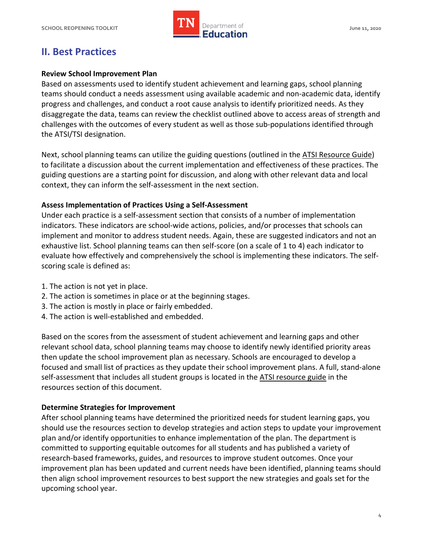

## **II. Best Practices**

#### **Review School Improvement Plan**

 Based on assessments used to identify student achievement and learning gaps, school planning teams should conduct a needs assessment using available academic and non-academic data, identify progress and challenges, and conduct a root cause analysis to identify prioritized needs. As they disaggregate the data, teams can review the checklist outlined above to access areas of strength and challenges with the outcomes of every student as well as those sub-populations identified through the ATSI/TSI designation.

Next, school planning teams can utilize the guiding questions (outlined in th[e ATSI Resource Guide\)](https://www.tn.gov/content/dam/tn/education/cpm/ATSI_Resource_Guide.pdf) to facilitate a discussion about the current implementation and effectiveness of these practices. The guiding questions are a starting point for discussion, and along with other relevant data and local context, they can inform the self-assessment in the next section.

#### **Assess Implementation of Practices Using a Self-Assessment**

 Under each practice is a self-assessment section that consists of a number of implementation indicators. These indicators are school-wide actions, policies, and/or processes that schools can implement and monitor to address student needs. Again, these are suggested indicators and not an exhaustive list. School planning teams can then self-score (on a scale of 1 to 4) each indicator to evaluate how effectively and comprehensively the school is implementing these indicators. The self-scoring scale is defined as:

- 1. The action is not yet in place.
- 2. The action is sometimes in place or at the beginning stages.
- 3. The action is mostly in place or fairly embedded.
- 4. The action is well-established and embedded.

 Based on the scores from the assessment of student achievement and learning gaps and other relevant school data, school planning teams may choose to identify newly identified priority areas then update the school improvement plan as necessary. Schools are encouraged to develop a focused and small list of practices as they update their school improvement plans. A full, stand-alone self-assessment that includes all student groups is located in the ATSI resource guide in the resources section of this document.

#### **Determine Strategies for Improvement**

 After school planning teams have determined the prioritized needs for student learning gaps, you should use the resources section to develop strategies and action steps to update your improvement plan and/or identify opportunities to enhance implementation of the plan. The department is committed to supporting equitable outcomes for all students and has published a variety of research-based frameworks, guides, and resources to improve student outcomes. Once your improvement plan has been updated and current needs have been identified, planning teams should then align school improvement resources to best support the new strategies and goals set for the upcoming school year.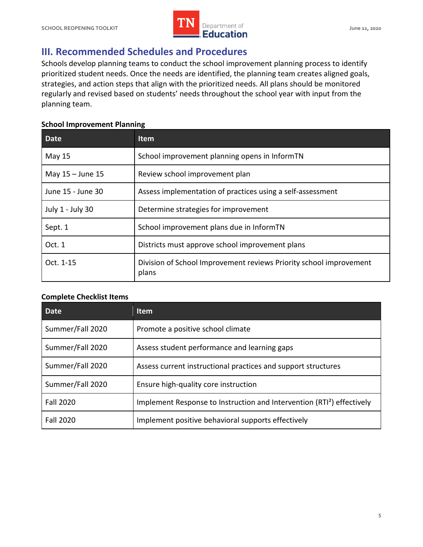

# **III. Recommended Schedules and Procedures**

 prioritized student needs. Once the needs are identified, the planning team creates aligned goals, strategies, and action steps that align with the prioritized needs. All plans should be monitored regularly and revised based on students' needs throughout the school year with input from the planning team. Schools develop planning teams to conduct the school improvement planning process to identify

#### **School Improvement Planning**

| <b>Date</b>       | <b>Item</b>                                                                 |
|-------------------|-----------------------------------------------------------------------------|
| <b>May 15</b>     | School improvement planning opens in InformTN                               |
| May 15 - June 15  | Review school improvement plan                                              |
| June 15 - June 30 | Assess implementation of practices using a self-assessment                  |
| July 1 - July 30  | Determine strategies for improvement                                        |
| Sept. 1           | School improvement plans due in InformTN                                    |
| Oct. 1            | Districts must approve school improvement plans                             |
| Oct. 1-15         | Division of School Improvement reviews Priority school improvement<br>plans |

#### **Complete Checklist Items**

| <b>Date</b>      | ltem                                                                               |
|------------------|------------------------------------------------------------------------------------|
| Summer/Fall 2020 | Promote a positive school climate                                                  |
| Summer/Fall 2020 | Assess student performance and learning gaps                                       |
| Summer/Fall 2020 | Assess current instructional practices and support structures                      |
| Summer/Fall 2020 | Ensure high-quality core instruction                                               |
| <b>Fall 2020</b> | Implement Response to Instruction and Intervention (RTI <sup>2</sup> ) effectively |
| <b>Fall 2020</b> | Implement positive behavioral supports effectively                                 |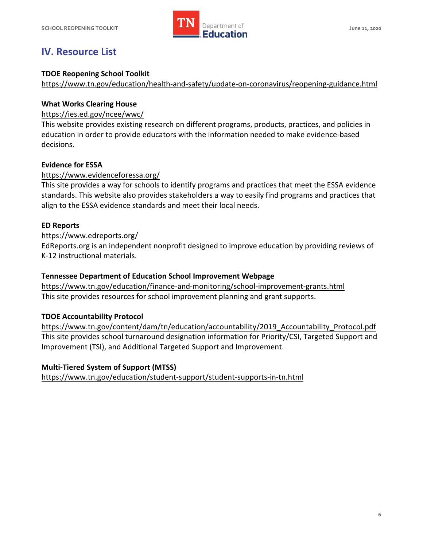

# **IV. Resource List**

#### **TDOE Reopening School Toolkit**

<https://www.tn.gov/education/health-and-safety/update-on-coronavirus/reopening-guidance.html>

#### **What Works Clearing House**

#### [https://ies.ed.gov/ncee/wwc/](https://www.tn.gov/content/dam/tn/education/cpm/ATSI_Resource_Guide.pdf)

 This website provides existing research on different programs, products, practices, and policies in education in order to provide educators with the information needed to make evidence-based decisions.

#### **Evidence for ESSA**

#### https://www.evidenceforessa.org/

 standards. This website also provides stakeholders a way to easily find programs and practices that [align to the ESSA evidence stan](https://ies.ed.gov/ncee/wwc/)dards and meet their local needs. This site provides a way for schools to identify programs and practices that meet the ESSA evidence

#### **ED Reports**

#### https://www.edreports.org/

 K-12 instructional materials. [EdReports.org](https://EdReports.org) is an independent nonprofit designed to improve education by providing reviews of

#### **Tennessee Department of Education School Improvement Webpage**

 https://www.tn.gov/education/finance-and-monitoring/school-improvement-grants.html This site provides resources for school improvement planning and grant supports.

### **TDOE Accountability Protocol**

 This site provides school turnaround designation information for Priority/CSI, Targeted Support and Improvement (TSI), and Additional Targeted Support and Improvement. [https://www.tn.gov/content](https://www.edreports.org/)/dam/tn/education/accountability/2019\_Accountability\_Protocol.pdf

#### **Multi-Tiered System of Support (MTSS)**

[https://www.tn.gov/education/student-support/student-supports-in-tn.html](https://www.tn.gov/education/finance-and-monitoring/school-improvement-grants.html)